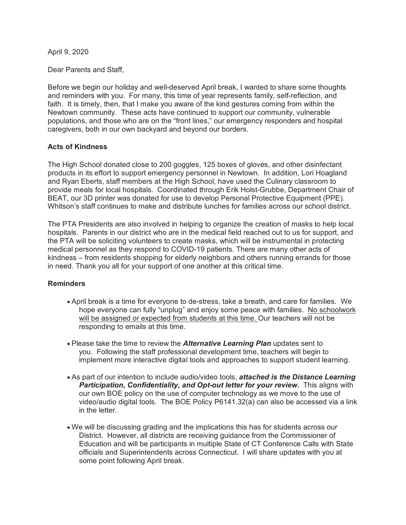April 9, 2020

Dear Parents and Staff,

Before we begin our holiday and well-deserved April break, I wanted to share some thoughts and reminders with you. For many, this time of year represents family, self-reflection, and faith. It is timely, then, that I make you aware of the kind gestures coming from within the Newtown community. These acts have continued to support our community, vulnerable populations, and those who are on the "front lines," our emergency responders and hospital caregivers, both in our own backyard and beyond our borders.

#### **Acts of Kindness**

The High School donated close to 200 goggles, 125 boxes of gloves, and other disinfectant products in its effort to support emergency personnel in Newtown. In addition, Lori Hoagland and Ryan Eberts, staff members at the High School, have used the Culinary classroom to provide meals for local hospitals. Coordinated through Erik Holst-Grubbe, Department Chair of BEAT, our 3D printer was donated for use to develop Personal Protective Equipment (PPE). Whitson's staff continues to make and distribute lunches for families across our school district.

The PTA Presidents are also involved in helping to organize the creation of masks to help local hospitals. Parents in our district who are in the medical field reached out to us for support, and the PTA will be soliciting volunteers to create masks, which will be instrumental in protecting medical personnel as they respond to COVID-19 patients. There are many other acts of kindness – from residents shopping for elderly neighbors and others running errands for those in need. Thank you all for your support of one another at this critical time.

### **Reminders**

- April break is a time for everyone to de-stress, take a breath, and care for families. We hope everyone can fully "unplug" and enjoy some peace with families. No schoolwork will be assigned or expected from students at this time. Our teachers will not be responding to emails at this time.
- Please take the time to review the *Alternative Learning Plan* updates sent to you. Following the staff professional development time, teachers will begin to implement more interactive digital tools and approaches to support student learning.
- As part of our intention to include audio/video tools, *attached is the Distance Learning Participation, Confidentiality, and Opt-out letter for your review.* This aligns with our own BOE policy on the use of computer technology as we move to the use of video/audio digital tools. The BOE Policy P6141.32(a) can also be accessed via a link in the letter.
- We will be discussing grading and the implications this has for students across our District. However, all districts are receiving guidance from the Commissioner of Education and will be participants in multiple State of CT Conference Calls with State officials and Superintendents across Connecticut. I will share updates with you at some point following April break.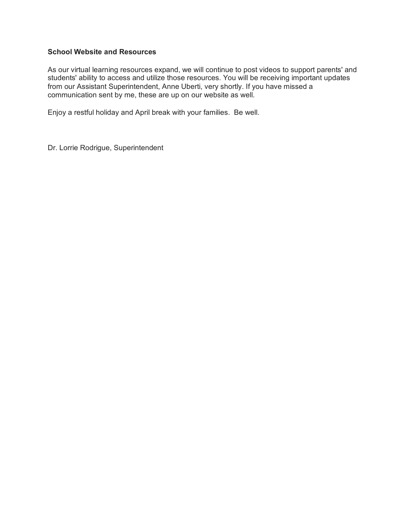### **School Website and Resources**

As our virtual learning resources expand, we will continue to post videos to support parents' and students' ability to access and utilize those resources. You will be receiving important updates from our Assistant Superintendent, Anne Uberti, very shortly. If you have missed a communication sent by me, these are up on our website as well.

Enjoy a restful holiday and April break with your families. Be well.

Dr. Lorrie Rodrigue, Superintendent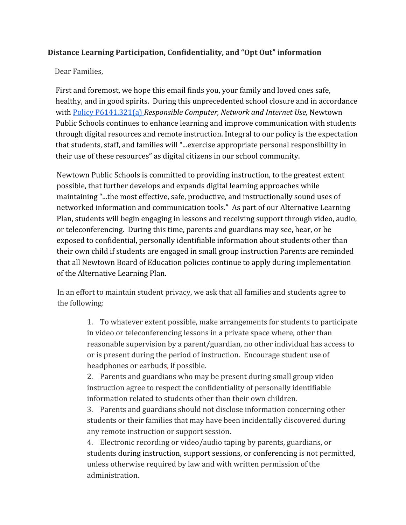# **Distance Learning Participation, Confidentiality, and "Opt Out" information**

## Dear Families,

First and foremost, we hope this email finds you, your family and loved ones safe, healthy, and in good spirits. During this unprecedented school closure and in accordance with [Policy P6141.321\(a\)](https://newtown-policies.campuscontact.com/6141.321-ResponsibleComputer,NetworkandInternetUse) *Responsible Computer, Network and Internet Use,* Newtown Public Schools continues to enhance learning and improve communication with students through digital resources and remote instruction. Integral to our policy is the expectation that students, staff, and families will "...exercise appropriate personal responsibility in their use of these resources" as digital citizens in our school community.

Newtown Public Schools is committed to providing instruction, to the greatest extent possible, that further develops and expands digital learning approaches while maintaining "...the most effective, safe, productive, and instructionally sound uses of networked information and communication tools." As part of our Alternative Learning Plan, students will begin engaging in lessons and receiving support through video, audio, or teleconferencing. During this time, parents and guardians may see, hear, or be exposed to confidential, personally identifiable information about students other than their own child if students are engaged in small group instruction Parents are reminded that all Newtown Board of Education policies continue to apply during implementation of the Alternative Learning Plan.

In an effort to maintain student privacy, we ask that all families and students agree to the following:

> 1. To whatever extent possible, make arrangements for students to participate in video or teleconferencing lessons in a private space where, other than reasonable supervision by a parent/guardian, no other individual has access to or is present during the period of instruction. Encourage student use of headphones or earbuds, if possible.

2. Parents and guardians who may be present during small group video instruction agree to respect the confidentiality of personally identifiable information related to students other than their own children.

3. Parents and guardians should not disclose information concerning other students or their families that may have been incidentally discovered during any remote instruction or support session.

4. Electronic recording or video/audio taping by parents, guardians, or students during instruction, support sessions, or conferencing is not permitted, unless otherwise required by law and with written permission of the administration.